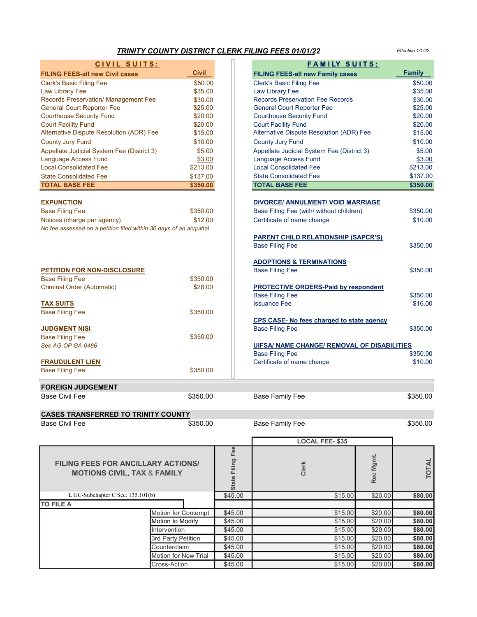| <b>TRINITY COUNTY DISTRICT CLERK FILING FEES 01/01/22</b><br>Effective 1/1/22 |              |                  |                                                    |           |                   |
|-------------------------------------------------------------------------------|--------------|------------------|----------------------------------------------------|-----------|-------------------|
| CIVIL SUITS:                                                                  |              |                  | FAMILY SUITS:                                      |           |                   |
| <b>FILING FEES-all new Civil cases</b>                                        | <b>Civil</b> |                  | <b>FILING FEES-all new Family cases</b>            |           | <b>Family</b>     |
| <b>Clerk's Basic Filing Fee</b>                                               | \$50.00      |                  | <b>Clerk's Basic Filing Fee</b>                    |           | \$50.00           |
| Law Library Fee                                                               | \$35.00      |                  | <b>Law Library Fee</b>                             |           | \$35.00           |
| Records Preservation/ Management Fee                                          | \$30.00      |                  | <b>Records Preservation Fee Records</b>            |           | \$30.00           |
| <b>General Court Reporter Fee</b>                                             | \$25.00      |                  | <b>General Court Reporter Fee</b>                  |           | \$25.00           |
| <b>Courthouse Security Fund</b>                                               | \$20.00      |                  | <b>Courthouse Security Fund</b>                    |           | \$20.00           |
| <b>Court Facility Fund</b>                                                    | \$20.00      |                  | <b>Court Facility Fund</b>                         |           | \$20.00           |
| Alternative Dispute Resolution (ADR) Fee                                      | \$15.00      |                  | Alternative Dispute Resolution (ADR) Fee           |           | \$15.00           |
|                                                                               |              |                  |                                                    |           |                   |
| <b>County Jury Fund</b>                                                       | \$10.00      |                  | <b>County Jury Fund</b>                            |           | \$10.00<br>\$5.00 |
| Appellate Judicial System Fee (District 3)                                    | \$5.00       |                  | Appellate Judicial System Fee (District 3)         |           |                   |
| Language Access Fund                                                          | \$3.00       |                  | Language Access Fund<br>\$3.00                     |           |                   |
| <b>Local Consolidated Fee</b>                                                 | \$213.00     |                  | <b>Local Consolidated Fee</b><br>\$213.00          |           |                   |
| <b>State Consolidated Fee</b>                                                 | \$137.00     |                  | <b>State Consolidated Fee</b>                      |           | \$137.00          |
| <b>TOTAL BASE FEE</b>                                                         | \$350.00     |                  | <b>TOTAL BASE FEE</b><br>\$350.00                  |           |                   |
|                                                                               |              |                  |                                                    |           |                   |
| <b>EXPUNCTION</b>                                                             |              |                  | <b>DIVORCE/ ANNULMENT/ VOID MARRIAGE</b>           |           |                   |
| <b>Base Filing Fee</b>                                                        | \$350.00     |                  | Base Filing Fee (with/ without children)           |           | \$350.00          |
| Notices (charge per agency)                                                   | \$12.00      |                  | Certificate of name change                         |           | \$10.00           |
| No fee assessed on a petition filed within 30 days of an acquittal            |              |                  |                                                    |           |                   |
|                                                                               |              |                  | <b>PARENT CHILD RELATIONSHIP (SAPCR'S)</b>         |           |                   |
|                                                                               |              |                  | <b>Base Filing Fee</b>                             |           | \$350.00          |
|                                                                               |              |                  | <b>ADOPTIONS &amp; TERMINATIONS</b>                |           |                   |
| PETITION FOR NON-DISCLOSURE                                                   |              |                  | <b>Base Filing Fee</b>                             |           | \$350.00          |
| <b>Base Filing Fee</b>                                                        | \$350.00     |                  |                                                    |           |                   |
| Criminal Order (Automatic)                                                    | \$28.00      |                  | <b>PROTECTIVE ORDERS-Paid by respondent</b>        |           |                   |
|                                                                               |              |                  | <b>Base Filing Fee</b>                             |           | \$350.00          |
|                                                                               |              |                  | <b>Issuance Fee</b>                                |           | \$16.00           |
| <b>TAX SUITS</b>                                                              | \$350.00     |                  |                                                    |           |                   |
| <b>Base Filing Fee</b>                                                        |              |                  |                                                    |           |                   |
|                                                                               |              |                  | CPS CASE- No fees charged to state agency          |           |                   |
| <b>JUDGMENT NISI</b>                                                          |              |                  | <b>Base Filing Fee</b>                             |           | \$350.00          |
| <b>Base Filing Fee</b>                                                        | \$350.00     |                  |                                                    |           |                   |
| See AG OP GA-0486                                                             |              |                  | <b>UIFSA/ NAME CHANGE/ REMOVAL OF DISABILITIES</b> |           |                   |
|                                                                               |              |                  | <b>Base Filing Fee</b>                             |           | \$350.00          |
| <b>FRAUDULENT LIEN</b>                                                        |              |                  | Certificate of name change                         |           | \$10.00           |
| <b>Base Filing Fee</b>                                                        | \$350.00     |                  |                                                    |           |                   |
| <b>FOREIGN JUDGEMENT</b>                                                      |              |                  |                                                    |           |                   |
| <b>Base Civil Fee</b>                                                         | \$350.00     |                  | <b>Base Family Fee</b>                             |           | \$350.00          |
|                                                                               |              |                  |                                                    |           |                   |
| <b>CASES TRANSFERRED TO TRINITY COUNTY</b>                                    |              |                  |                                                    |           |                   |
| <b>Base Civil Fee</b>                                                         | \$350.00     |                  | <b>Base Family Fee</b>                             |           | \$350.00          |
|                                                                               |              |                  |                                                    |           |                   |
|                                                                               |              |                  | <b>LOCAL FEE-\$35</b>                              |           |                   |
|                                                                               |              | State Filing Fee |                                                    |           |                   |
| FILING FEES FOR ANCILLARY ACTIONS/                                            |              |                  |                                                    | Rec Mgmt. |                   |
|                                                                               |              |                  | Clerk                                              |           | <b>TOTAL</b>      |
| <b>MOTIONS CIVIL, TAX &amp; FAMILY</b>                                        |              |                  |                                                    |           |                   |
|                                                                               |              |                  |                                                    |           |                   |
| L GC-Subchapter C Sec. 135.101(b)                                             |              | \$45.00          | \$15.00                                            | \$20.00   | \$80.00           |
| <b>TO FILE A</b>                                                              |              |                  |                                                    |           |                   |

Motion to Modify

Motion for Contempt \$45.00 \$45.00 \$15.00 \$20.00 \$80.00<br>Motion to Modify \$45.00 \$45.00 \$15.00 \$20.00 \$80.00

Intervention \$45.00 \$15.00 \$20.00 \$80.00 3rd Party Petition \$45.00 \$15.00 \$20.00 \$80.00 Counterclaim \$45.00 \$15.00 \$20.00 \$80.00 Motion for New Trial | \$45.00 | \$15.00 \$15.00 \$20.00 \$80.00 Cross-Action \$45.00 \$15.00 \$20.00 \$80.00